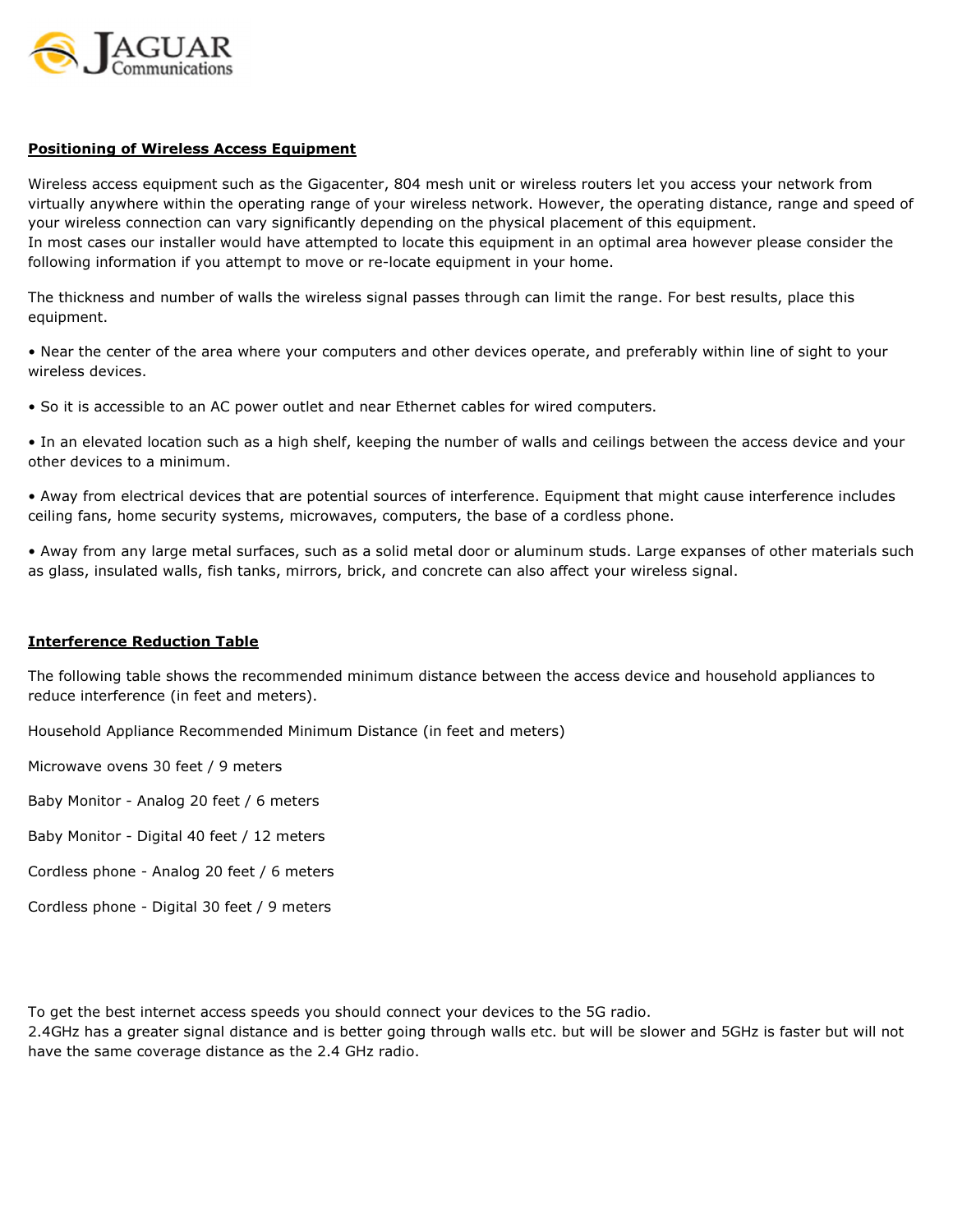

## Positioning of Wireless Access Equipment

Wireless access equipment such as the Gigacenter, 804 mesh unit or wireless routers let you access your network from virtually anywhere within the operating range of your wireless network. However, the operating distance, range and speed of your wireless connection can vary significantly depending on the physical placement of this equipment. In most cases our installer would have attempted to locate this equipment in an optimal area however please consider the following information if you attempt to move or re-locate equipment in your home.

The thickness and number of walls the wireless signal passes through can limit the range. For best results, place this equipment.

• Near the center of the area where your computers and other devices operate, and preferably within line of sight to your wireless devices.

• So it is accessible to an AC power outlet and near Ethernet cables for wired computers.

• In an elevated location such as a high shelf, keeping the number of walls and ceilings between the access device and your other devices to a minimum.

• Away from electrical devices that are potential sources of interference. Equipment that might cause interference includes ceiling fans, home security systems, microwaves, computers, the base of a cordless phone.

• Away from any large metal surfaces, such as a solid metal door or aluminum studs. Large expanses of other materials such as glass, insulated walls, fish tanks, mirrors, brick, and concrete can also affect your wireless signal.

## Interference Reduction Table

The following table shows the recommended minimum distance between the access device and household appliances to reduce interference (in feet and meters).

Household Appliance Recommended Minimum Distance (in feet and meters)

Microwave ovens 30 feet / 9 meters

Baby Monitor - Analog 20 feet / 6 meters

Baby Monitor - Digital 40 feet / 12 meters

Cordless phone - Analog 20 feet / 6 meters

Cordless phone - Digital 30 feet / 9 meters

To get the best internet access speeds you should connect your devices to the 5G radio.

2.4GHz has a greater signal distance and is better going through walls etc. but will be slower and 5GHz is faster but will not have the same coverage distance as the 2.4 GHz radio.